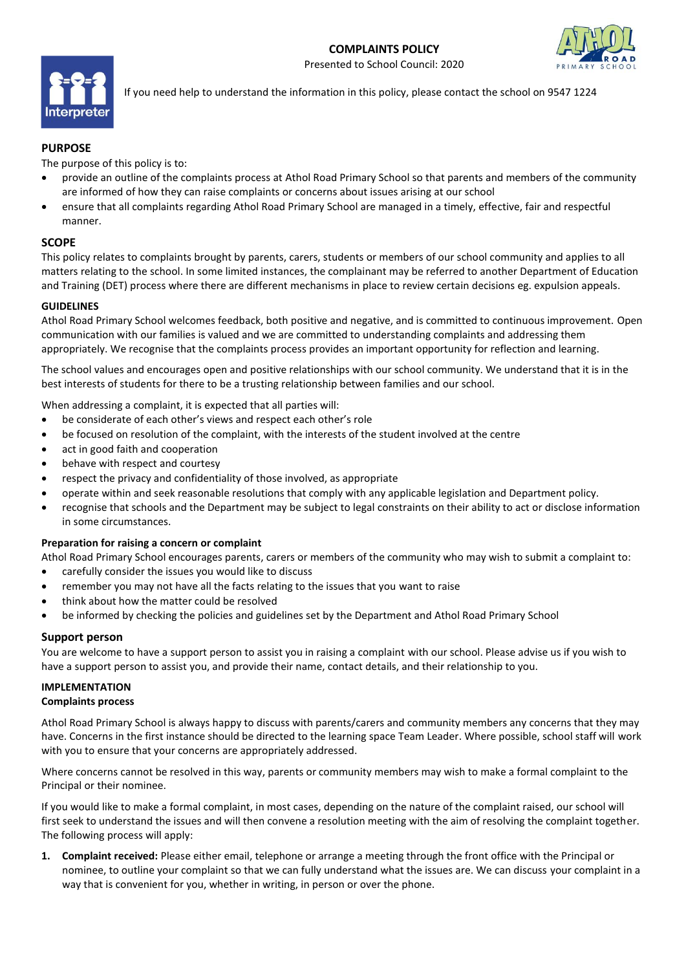# **COMPLAINTS POLICY**

Presented to School Council: 2020





If you need help to understand the information in this policy, please contact the school on 9547 1224

# **PURPOSE**

The purpose of this policy is to:

- provide an outline of the complaints process at Athol Road Primary School so that parents and members of the community are informed of how they can raise complaints or concerns about issues arising at our school
- ensure that all complaints regarding Athol Road Primary School are managed in a timely, effective, fair and respectful manner.

### **SCOPE**

This policy relates to complaints brought by parents, carers, students or members of our school community and applies to all matters relating to the school. In some limited instances, the complainant may be referred to another Department of Education and Training (DET) process where there are different mechanisms in place to review certain decisions eg. expulsion appeals.

#### **GUIDELINES**

Athol Road Primary School welcomes feedback, both positive and negative, and is committed to continuous improvement. Open communication with our families is valued and we are committed to understanding complaints and addressing them appropriately. We recognise that the complaints process provides an important opportunity for reflection and learning.

The school values and encourages open and positive relationships with our school community. We understand that it is in the best interests of students for there to be a trusting relationship between families and our school.

When addressing a complaint, it is expected that all parties will:

- be considerate of each other's views and respect each other's role
- be focused on resolution of the complaint, with the interests of the student involved at the centre
- act in good faith and cooperation
- behave with respect and courtesy
- respect the privacy and confidentiality of those involved, as appropriate
- operate within and seek reasonable resolutions that comply with any applicable legislation and Department policy.
- recognise that schools and the Department may be subject to legal constraints on their ability to act or disclose information in some circumstances.

#### **Preparation for raising a concern or complaint**

Athol Road Primary School encourages parents, carers or members of the community who may wish to submit a complaint to:

- carefully consider the issues you would like to discuss
- remember you may not have all the facts relating to the issues that you want to raise
- think about how the matter could be resolved
- be informed by checking the policies and guidelines set by the Department and Athol Road Primary School

# **Support person**

You are welcome to have a support person to assist you in raising a complaint with our school. Please advise us if you wish to have a support person to assist you, and provide their name, contact details, and their relationship to you.

# **IMPLEMENTATION**

#### **Complaints process**

Athol Road Primary School is always happy to discuss with parents/carers and community members any concerns that they may have. Concerns in the first instance should be directed to the learning space Team Leader. Where possible, school staff will work with you to ensure that your concerns are appropriately addressed.

Where concerns cannot be resolved in this way, parents or community members may wish to make a formal complaint to the Principal or their nominee.

If you would like to make a formal complaint, in most cases, depending on the nature of the complaint raised, our school will first seek to understand the issues and will then convene a resolution meeting with the aim of resolving the complaint together. The following process will apply:

**1. Complaint received:** Please either email, telephone or arrange a meeting through the front office with the Principal or nominee, to outline your complaint so that we can fully understand what the issues are. We can discuss your complaint in a way that is convenient for you, whether in writing, in person or over the phone.